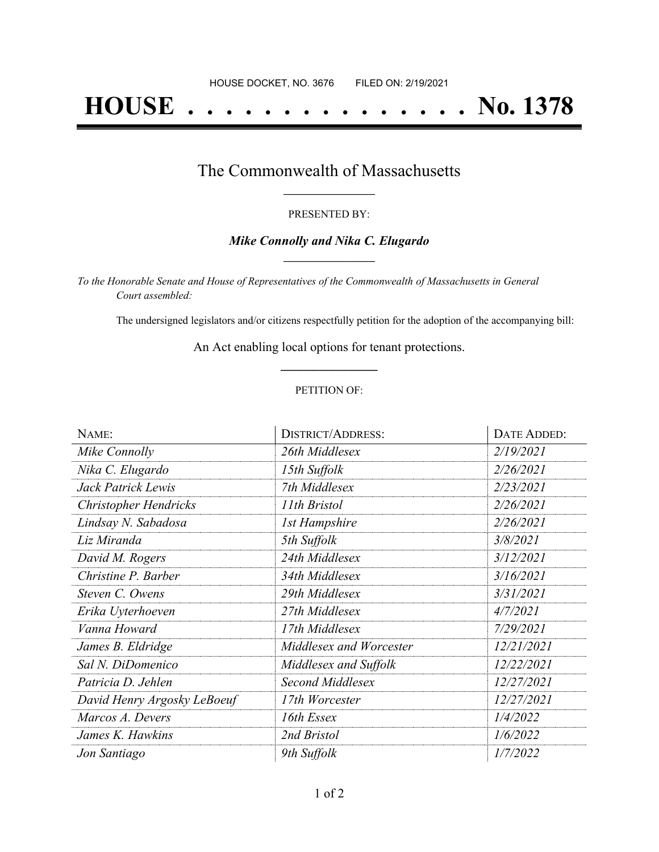# **HOUSE . . . . . . . . . . . . . . . No. 1378**

### The Commonwealth of Massachusetts **\_\_\_\_\_\_\_\_\_\_\_\_\_\_\_\_\_**

#### PRESENTED BY:

#### *Mike Connolly and Nika C. Elugardo* **\_\_\_\_\_\_\_\_\_\_\_\_\_\_\_\_\_**

*To the Honorable Senate and House of Representatives of the Commonwealth of Massachusetts in General Court assembled:*

The undersigned legislators and/or citizens respectfully petition for the adoption of the accompanying bill:

An Act enabling local options for tenant protections. **\_\_\_\_\_\_\_\_\_\_\_\_\_\_\_**

#### PETITION OF:

| NAME:                       | <b>DISTRICT/ADDRESS:</b> | <b>DATE ADDED:</b> |
|-----------------------------|--------------------------|--------------------|
| Mike Connolly               | 26th Middlesex           | 2/19/2021          |
| Nika C. Elugardo            | 15th Suffolk             | 2/26/2021          |
| Jack Patrick Lewis          | 7th Middlesex            | 2/23/2021          |
| Christopher Hendricks       | 11th Bristol             | 2/26/2021          |
| Lindsay N. Sabadosa         | <b>1st Hampshire</b>     | 2/26/2021          |
| Liz Miranda                 | 5th Suffolk              | 3/8/2021           |
| David M. Rogers             | 24th Middlesex           | 3/12/2021          |
| Christine P. Barber         | 34th Middlesex           | 3/16/2021          |
| Steven C. Owens             | 29th Middlesex           | 3/31/2021          |
| Erika Uyterhoeven           | 27th Middlesex           | 4/7/2021           |
| Vanna Howard                | 17th Middlesex           | 7/29/2021          |
| James B. Eldridge           | Middlesex and Worcester  | 12/21/2021         |
| Sal N. DiDomenico           | Middlesex and Suffolk    | 12/22/2021         |
| Patricia D. Jehlen          | <b>Second Middlesex</b>  | 12/27/2021         |
| David Henry Argosky LeBoeuf | 17th Worcester           | 12/27/2021         |
| Marcos A. Devers            | 16th Essex               | 1/4/2022           |
| James K. Hawkins            | 2nd Bristol              | 1/6/2022           |
| Jon Santiago                | 9th Suffolk              | 1/7/2022           |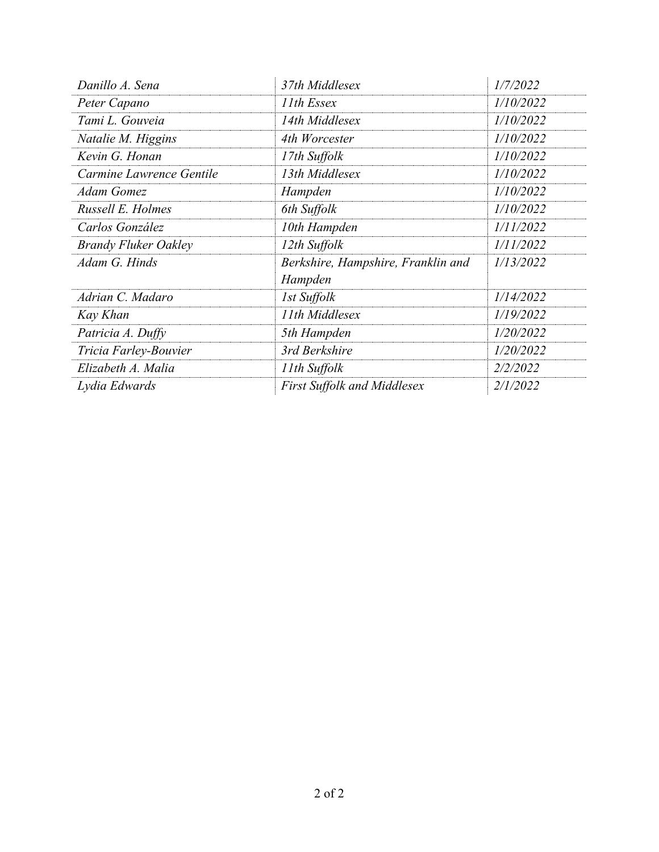| Danillo A. Sena             | 37th Middlesex                                | 1/7/2022  |
|-----------------------------|-----------------------------------------------|-----------|
| Peter Capano                | 11th Essex                                    | 1/10/2022 |
| Tami L. Gouveia             | 14th Middlesex                                | 1/10/2022 |
| Natalie M. Higgins          | 4th Worcester                                 | 1/10/2022 |
| Kevin G. Honan              | 17th Suffolk                                  | 1/10/2022 |
| Carmine Lawrence Gentile    | 13th Middlesex                                | 1/10/2022 |
| Adam Gomez                  | Hampden                                       | 1/10/2022 |
| Russell E. Holmes           | 6th Suffolk                                   | 1/10/2022 |
| Carlos González             | 10th Hampden                                  | 1/11/2022 |
| <b>Brandy Fluker Oakley</b> | 12th Suffolk                                  | 1/11/2022 |
| Adam G. Hinds               | Berkshire, Hampshire, Franklin and<br>Hampden | 1/13/2022 |
| Adrian C. Madaro            | 1st Suffolk                                   | 1/14/2022 |
| Kay Khan                    | 11th Middlesex                                | 1/19/2022 |
| Patricia A. Duffy           | 5th Hampden                                   | 1/20/2022 |
| Tricia Farley-Bouvier       | 3rd Berkshire                                 | 1/20/2022 |
| Elizabeth A. Malia          | 11th Suffolk                                  | 2/2/2022  |
| Lydia Edwards               | <b>First Suffolk and Middlesex</b>            | 2/1/2022  |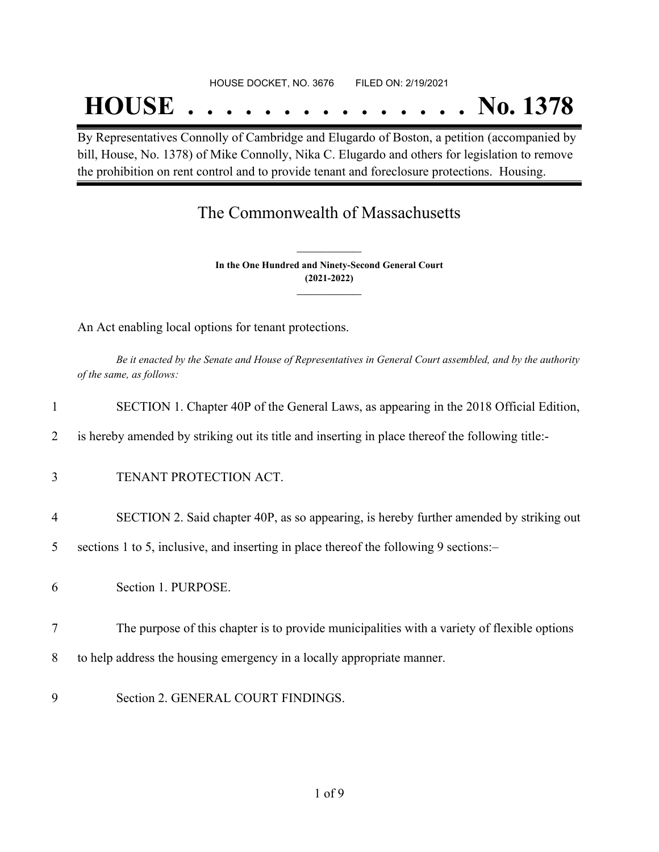## **HOUSE . . . . . . . . . . . . . . . No. 1378**

By Representatives Connolly of Cambridge and Elugardo of Boston, a petition (accompanied by bill, House, No. 1378) of Mike Connolly, Nika C. Elugardo and others for legislation to remove the prohibition on rent control and to provide tenant and foreclosure protections. Housing.

## The Commonwealth of Massachusetts

**In the One Hundred and Ninety-Second General Court (2021-2022) \_\_\_\_\_\_\_\_\_\_\_\_\_\_\_**

**\_\_\_\_\_\_\_\_\_\_\_\_\_\_\_**

An Act enabling local options for tenant protections.

Be it enacted by the Senate and House of Representatives in General Court assembled, and by the authority *of the same, as follows:*

| $\mathbf{1}$ | SECTION 1. Chapter 40P of the General Laws, as appearing in the 2018 Official Edition,           |
|--------------|--------------------------------------------------------------------------------------------------|
| 2            | is hereby amended by striking out its title and inserting in place thereof the following title:- |
| 3            | TENANT PROTECTION ACT.                                                                           |
| 4            | SECTION 2. Said chapter 40P, as so appearing, is hereby further amended by striking out          |
| 5            | sections 1 to 5, inclusive, and inserting in place thereof the following 9 sections:-            |
| 6            | Section 1. PURPOSE.                                                                              |
| 7            | The purpose of this chapter is to provide municipalities with a variety of flexible options      |
| 8            | to help address the housing emergency in a locally appropriate manner.                           |
| 9            | Section 2. GENERAL COURT FINDINGS.                                                               |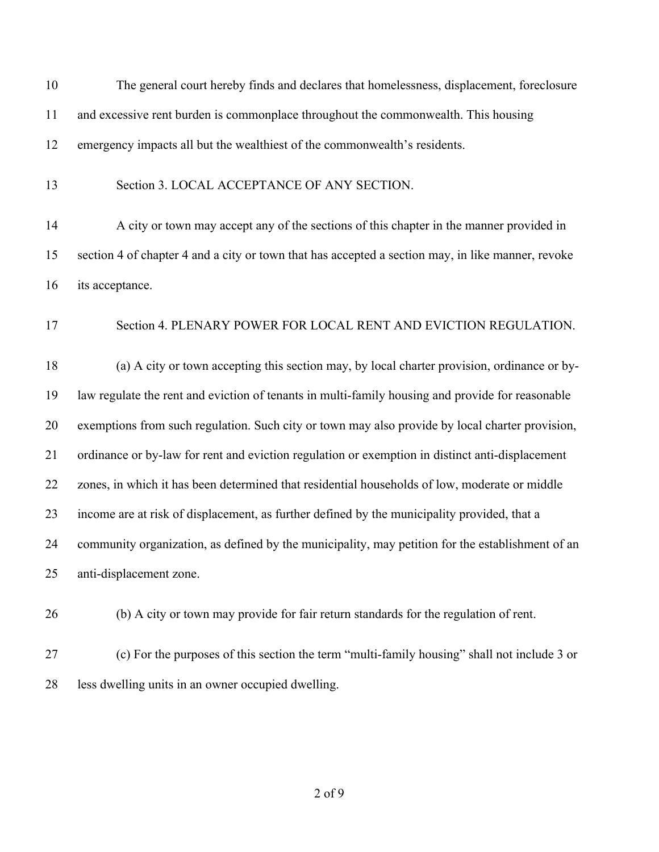| 10 | The general court hereby finds and declares that homelessness, displacement, foreclosure          |
|----|---------------------------------------------------------------------------------------------------|
| 11 | and excessive rent burden is commonplace throughout the commonwealth. This housing                |
| 12 | emergency impacts all but the wealthiest of the commonwealth's residents.                         |
| 13 | Section 3. LOCAL ACCEPTANCE OF ANY SECTION.                                                       |
| 14 | A city or town may accept any of the sections of this chapter in the manner provided in           |
| 15 | section 4 of chapter 4 and a city or town that has accepted a section may, in like manner, revoke |
| 16 | its acceptance.                                                                                   |
| 17 | Section 4. PLENARY POWER FOR LOCAL RENT AND EVICTION REGULATION.                                  |
| 18 | (a) A city or town accepting this section may, by local charter provision, ordinance or by-       |
| 19 | law regulate the rent and eviction of tenants in multi-family housing and provide for reasonable  |
| 20 | exemptions from such regulation. Such city or town may also provide by local charter provision,   |
| 21 | ordinance or by-law for rent and eviction regulation or exemption in distinct anti-displacement   |
| 22 | zones, in which it has been determined that residential households of low, moderate or middle     |
| 23 | income are at risk of displacement, as further defined by the municipality provided, that a       |
| 24 | community organization, as defined by the municipality, may petition for the establishment of an  |
| 25 | anti-displacement zone.                                                                           |
| 26 | (b) A city or town may provide for fair return standards for the regulation of rent.              |
| 27 | (c) For the purposes of this section the term "multi-family housing" shall not include 3 or       |

less dwelling units in an owner occupied dwelling.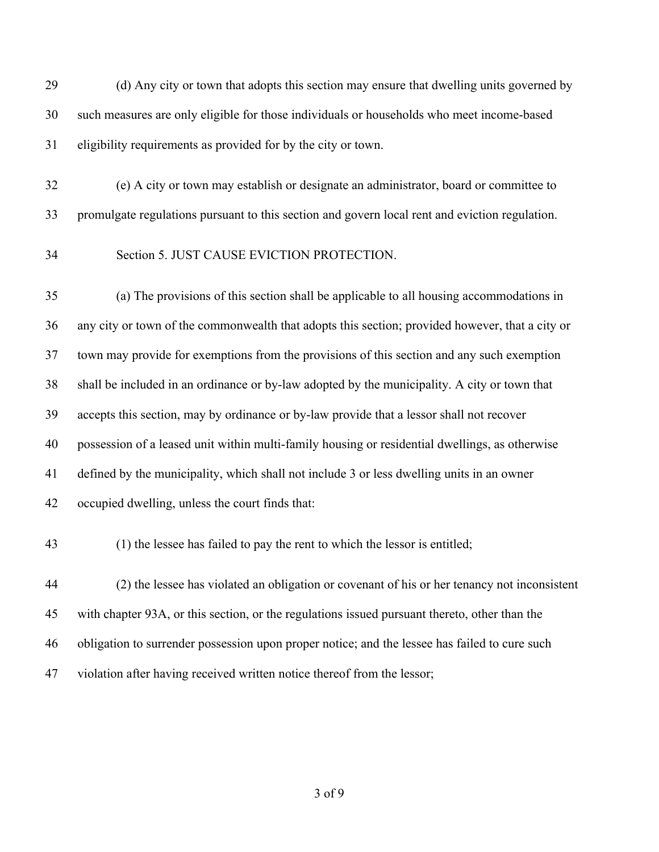(d) Any city or town that adopts this section may ensure that dwelling units governed by such measures are only eligible for those individuals or households who meet income-based eligibility requirements as provided for by the city or town.

 (e) A city or town may establish or designate an administrator, board or committee to promulgate regulations pursuant to this section and govern local rent and eviction regulation.

#### Section 5. JUST CAUSE EVICTION PROTECTION.

 (a) The provisions of this section shall be applicable to all housing accommodations in any city or town of the commonwealth that adopts this section; provided however, that a city or town may provide for exemptions from the provisions of this section and any such exemption shall be included in an ordinance or by-law adopted by the municipality. A city or town that accepts this section, may by ordinance or by-law provide that a lessor shall not recover possession of a leased unit within multi-family housing or residential dwellings, as otherwise defined by the municipality, which shall not include 3 or less dwelling units in an owner occupied dwelling, unless the court finds that:

(1) the lessee has failed to pay the rent to which the lessor is entitled;

 (2) the lessee has violated an obligation or covenant of his or her tenancy not inconsistent with chapter 93A, or this section, or the regulations issued pursuant thereto, other than the obligation to surrender possession upon proper notice; and the lessee has failed to cure such violation after having received written notice thereof from the lessor;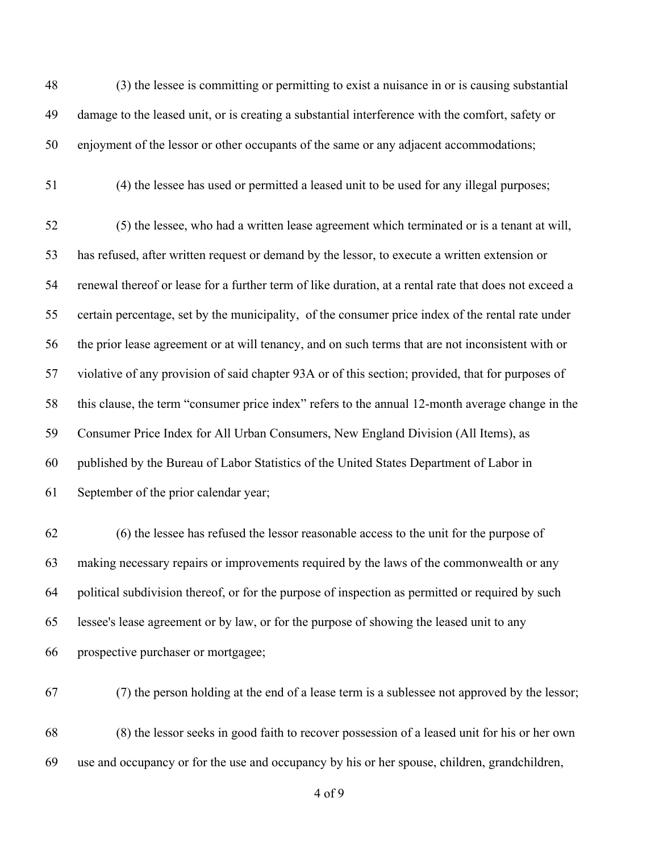(3) the lessee is committing or permitting to exist a nuisance in or is causing substantial damage to the leased unit, or is creating a substantial interference with the comfort, safety or enjoyment of the lessor or other occupants of the same or any adjacent accommodations; (4) the lessee has used or permitted a leased unit to be used for any illegal purposes; (5) the lessee, who had a written lease agreement which terminated or is a tenant at will, has refused, after written request or demand by the lessor, to execute a written extension or renewal thereof or lease for a further term of like duration, at a rental rate that does not exceed a certain percentage, set by the municipality, of the consumer price index of the rental rate under the prior lease agreement or at will tenancy, and on such terms that are not inconsistent with or violative of any provision of said chapter 93A or of this section; provided, that for purposes of this clause, the term "consumer price index" refers to the annual 12-month average change in the Consumer Price Index for All Urban Consumers, New England Division (All Items), as published by the Bureau of Labor Statistics of the United States Department of Labor in September of the prior calendar year; (6) the lessee has refused the lessor reasonable access to the unit for the purpose of making necessary repairs or improvements required by the laws of the commonwealth or any political subdivision thereof, or for the purpose of inspection as permitted or required by such

prospective purchaser or mortgagee;

(7) the person holding at the end of a lease term is a sublessee not approved by the lessor;

 (8) the lessor seeks in good faith to recover possession of a leased unit for his or her own use and occupancy or for the use and occupancy by his or her spouse, children, grandchildren,

lessee's lease agreement or by law, or for the purpose of showing the leased unit to any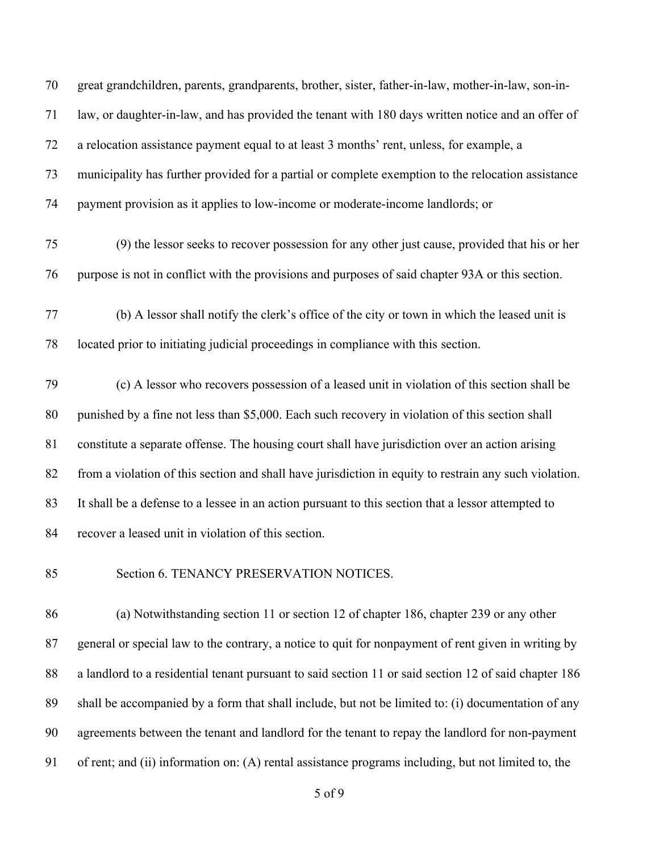great grandchildren, parents, grandparents, brother, sister, father-in-law, mother-in-law, son-in- law, or daughter-in-law, and has provided the tenant with 180 days written notice and an offer of a relocation assistance payment equal to at least 3 months' rent, unless, for example, a municipality has further provided for a partial or complete exemption to the relocation assistance payment provision as it applies to low-income or moderate-income landlords; or

- (9) the lessor seeks to recover possession for any other just cause, provided that his or her purpose is not in conflict with the provisions and purposes of said chapter 93A or this section.
- (b) A lessor shall notify the clerk's office of the city or town in which the leased unit is located prior to initiating judicial proceedings in compliance with this section.

 (c) A lessor who recovers possession of a leased unit in violation of this section shall be punished by a fine not less than \$5,000. Each such recovery in violation of this section shall constitute a separate offense. The housing court shall have jurisdiction over an action arising from a violation of this section and shall have jurisdiction in equity to restrain any such violation. It shall be a defense to a lessee in an action pursuant to this section that a lessor attempted to recover a leased unit in violation of this section.

#### 85 Section 6. TENANCY PRESERVATION NOTICES.

 (a) Notwithstanding section 11 or section 12 of chapter 186, chapter 239 or any other general or special law to the contrary, a notice to quit for nonpayment of rent given in writing by a landlord to a residential tenant pursuant to said section 11 or said section 12 of said chapter 186 shall be accompanied by a form that shall include, but not be limited to: (i) documentation of any agreements between the tenant and landlord for the tenant to repay the landlord for non-payment of rent; and (ii) information on: (A) rental assistance programs including, but not limited to, the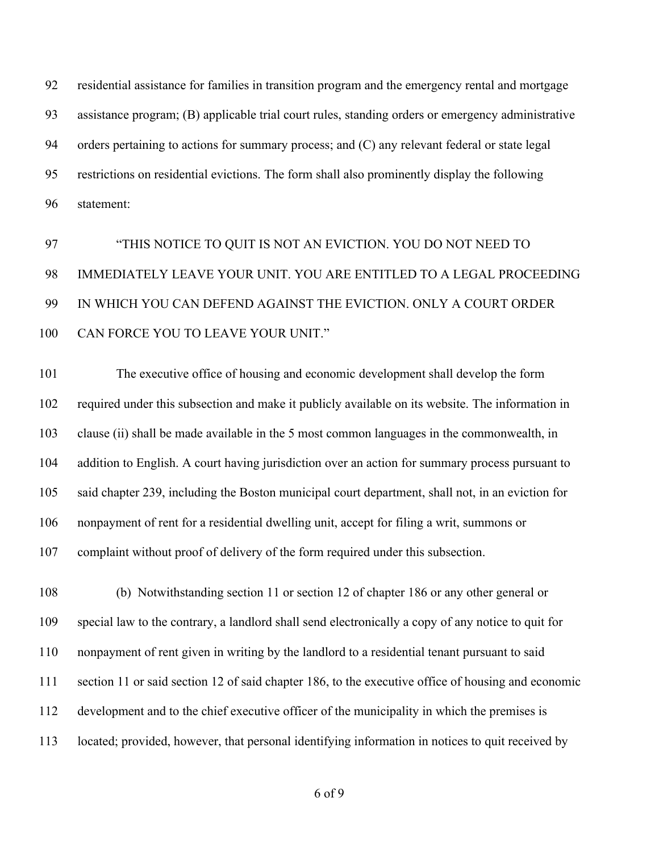residential assistance for families in transition program and the emergency rental and mortgage assistance program; (B) applicable trial court rules, standing orders or emergency administrative orders pertaining to actions for summary process; and (C) any relevant federal or state legal restrictions on residential evictions. The form shall also prominently display the following statement:

 "THIS NOTICE TO QUIT IS NOT AN EVICTION. YOU DO NOT NEED TO IMMEDIATELY LEAVE YOUR UNIT. YOU ARE ENTITLED TO A LEGAL PROCEEDING IN WHICH YOU CAN DEFEND AGAINST THE EVICTION. ONLY A COURT ORDER CAN FORCE YOU TO LEAVE YOUR UNIT."

 The executive office of housing and economic development shall develop the form required under this subsection and make it publicly available on its website. The information in clause (ii) shall be made available in the 5 most common languages in the commonwealth, in 104 addition to English. A court having jurisdiction over an action for summary process pursuant to said chapter 239, including the Boston municipal court department, shall not, in an eviction for nonpayment of rent for a residential dwelling unit, accept for filing a writ, summons or complaint without proof of delivery of the form required under this subsection.

 (b) Notwithstanding section 11 or section 12 of chapter 186 or any other general or special law to the contrary, a landlord shall send electronically a copy of any notice to quit for nonpayment of rent given in writing by the landlord to a residential tenant pursuant to said section 11 or said section 12 of said chapter 186, to the executive office of housing and economic development and to the chief executive officer of the municipality in which the premises is located; provided, however, that personal identifying information in notices to quit received by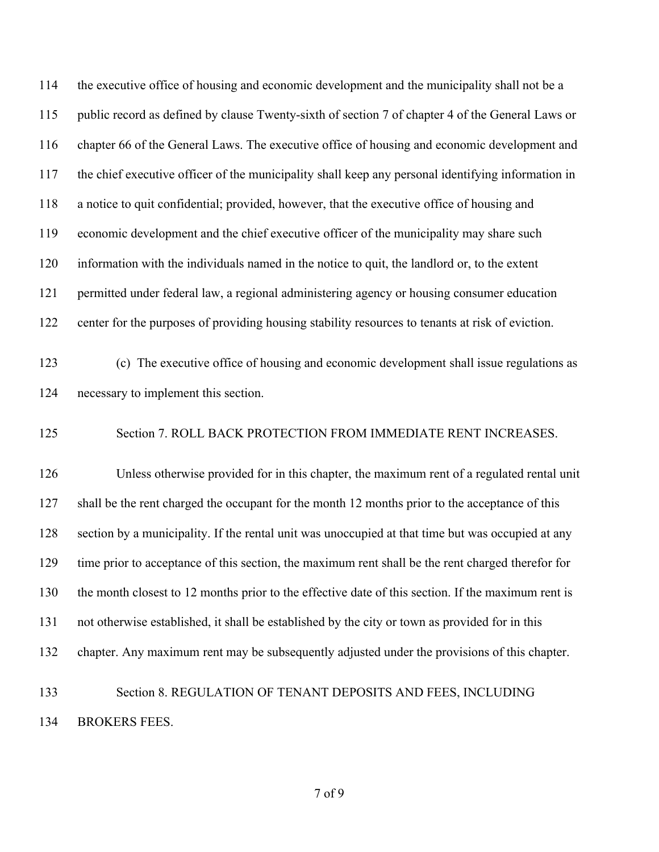the executive office of housing and economic development and the municipality shall not be a public record as defined by clause Twenty-sixth of section 7 of chapter 4 of the General Laws or chapter 66 of the General Laws. The executive office of housing and economic development and the chief executive officer of the municipality shall keep any personal identifying information in a notice to quit confidential; provided, however, that the executive office of housing and economic development and the chief executive officer of the municipality may share such information with the individuals named in the notice to quit, the landlord or, to the extent permitted under federal law, a regional administering agency or housing consumer education center for the purposes of providing housing stability resources to tenants at risk of eviction. (c) The executive office of housing and economic development shall issue regulations as necessary to implement this section. Section 7. ROLL BACK PROTECTION FROM IMMEDIATE RENT INCREASES. Unless otherwise provided for in this chapter, the maximum rent of a regulated rental unit 127 shall be the rent charged the occupant for the month 12 months prior to the acceptance of this section by a municipality. If the rental unit was unoccupied at that time but was occupied at any time prior to acceptance of this section, the maximum rent shall be the rent charged therefor for the month closest to 12 months prior to the effective date of this section. If the maximum rent is not otherwise established, it shall be established by the city or town as provided for in this chapter. Any maximum rent may be subsequently adjusted under the provisions of this chapter. Section 8. REGULATION OF TENANT DEPOSITS AND FEES, INCLUDING BROKERS FEES.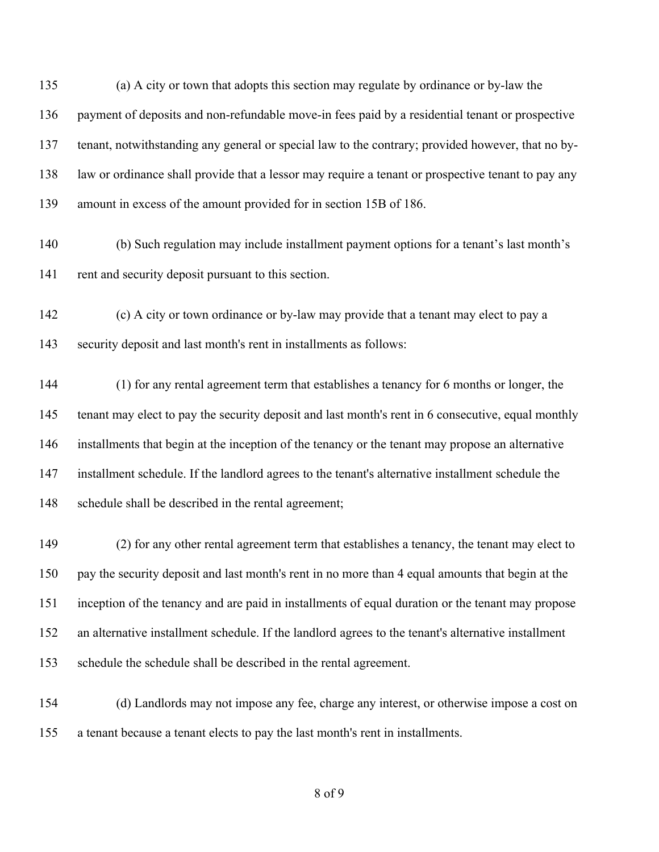(a) A city or town that adopts this section may regulate by ordinance or by-law the payment of deposits and non-refundable move-in fees paid by a residential tenant or prospective tenant, notwithstanding any general or special law to the contrary; provided however, that no by- law or ordinance shall provide that a lessor may require a tenant or prospective tenant to pay any amount in excess of the amount provided for in section 15B of 186.

- (b) Such regulation may include installment payment options for a tenant's last month's rent and security deposit pursuant to this section.
- (c) A city or town ordinance or by-law may provide that a tenant may elect to pay a security deposit and last month's rent in installments as follows:

 (1) for any rental agreement term that establishes a tenancy for 6 months or longer, the tenant may elect to pay the security deposit and last month's rent in 6 consecutive, equal monthly installments that begin at the inception of the tenancy or the tenant may propose an alternative installment schedule. If the landlord agrees to the tenant's alternative installment schedule the schedule shall be described in the rental agreement;

 (2) for any other rental agreement term that establishes a tenancy, the tenant may elect to pay the security deposit and last month's rent in no more than 4 equal amounts that begin at the inception of the tenancy and are paid in installments of equal duration or the tenant may propose an alternative installment schedule. If the landlord agrees to the tenant's alternative installment schedule the schedule shall be described in the rental agreement.

 (d) Landlords may not impose any fee, charge any interest, or otherwise impose a cost on a tenant because a tenant elects to pay the last month's rent in installments.